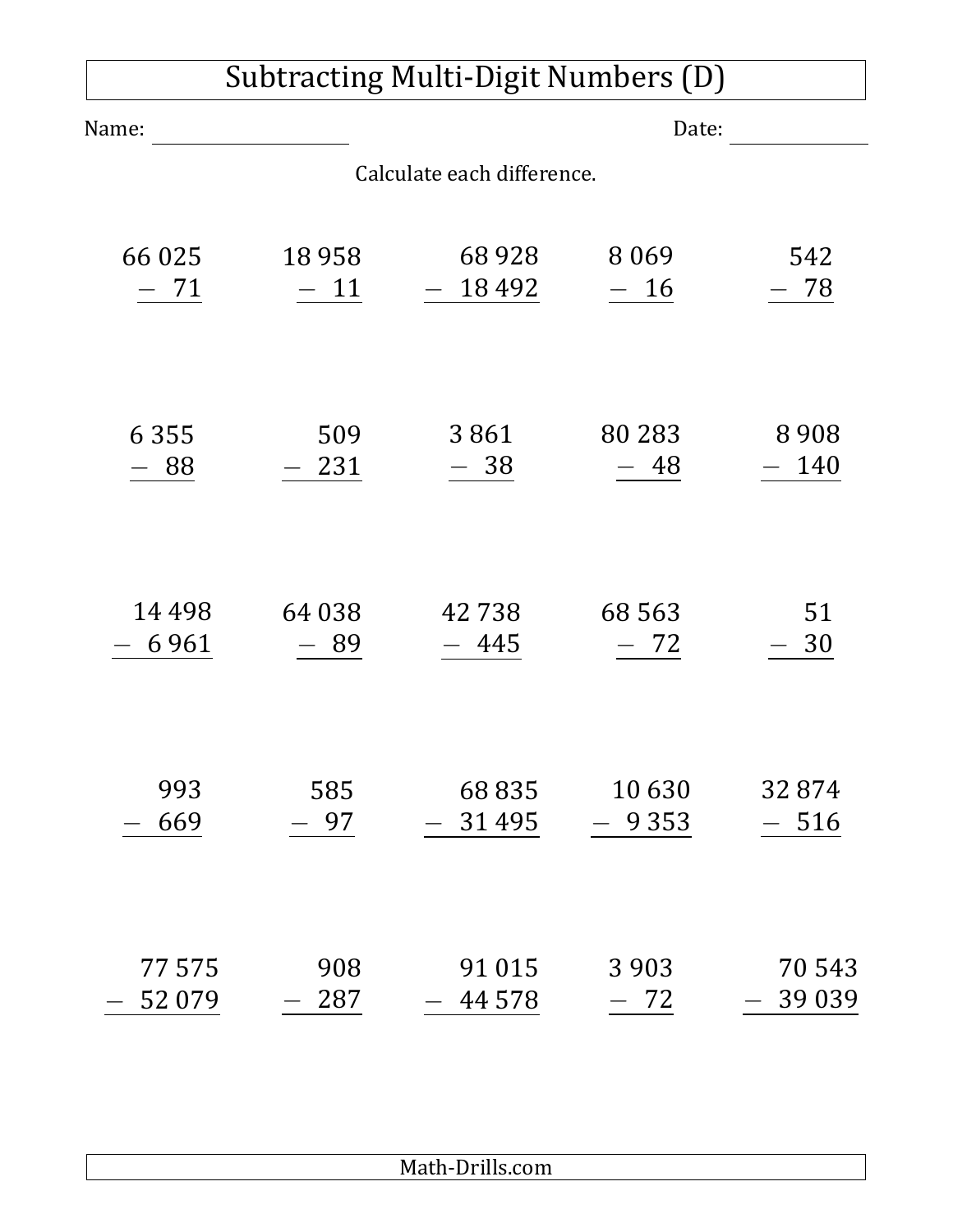| Subtracting Multi-Digit Numbers (D) |         |         |         |         |  |  |  |
|-------------------------------------|---------|---------|---------|---------|--|--|--|
| Name:                               |         | Date:   |         |         |  |  |  |
| Calculate each difference.          |         |         |         |         |  |  |  |
| 66 025                              | 18 9 58 | 68928   | 8 0 6 9 | 542     |  |  |  |
| - 71                                | $-11$   | 18492   | - 16    | 78      |  |  |  |
| 6 3 5 5                             | 509     | 3861    | 80 283  | 8908    |  |  |  |
| 88                                  | 231     | - 38    | - 48    | 140     |  |  |  |
| 14 4 9 8                            | 64 038  | 42738   | 68 5 63 | 51      |  |  |  |
| 6961                                | 89      | $-445$  | - 72    | 30      |  |  |  |
| 993                                 | 585     | 68835   | 10630   | 32874   |  |  |  |
| 669                                 | 97      | 31 4 95 | 9 3 5 3 | 516     |  |  |  |
| 77575                               | 908     | 91 0 15 | 3 9 0 3 | 70 543  |  |  |  |
| 52 079                              | 287     | 44 5 78 | 72      | 39 0 39 |  |  |  |